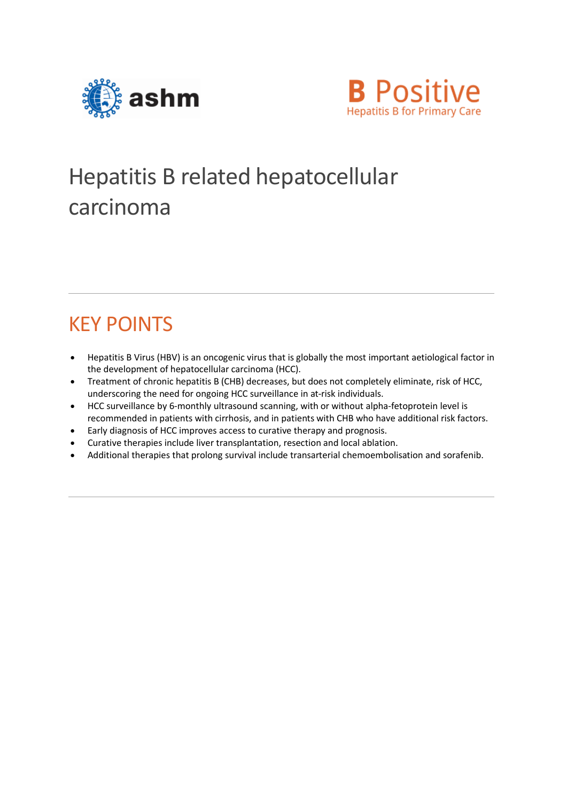



# Hepatitis B related hepatocellular carcinoma

# KEY POINTS

- Hepatitis B Virus (HBV) is an oncogenic virus that is globally the most important aetiological factor in the development of hepatocellular carcinoma (HCC).
- Treatment of chronic hepatitis B (CHB) decreases, but does not completely eliminate, risk of HCC, underscoring the need for ongoing HCC surveillance in at-risk individuals.
- HCC surveillance by 6-monthly ultrasound scanning, with or without alpha-fetoprotein level is recommended in patients with cirrhosis, and in patients with CHB who have additional risk factors.
- Early diagnosis of HCC improves access to curative therapy and prognosis.
- Curative therapies include liver transplantation, resection and local ablation.
- Additional therapies that prolong survival include transarterial chemoembolisation and sorafenib.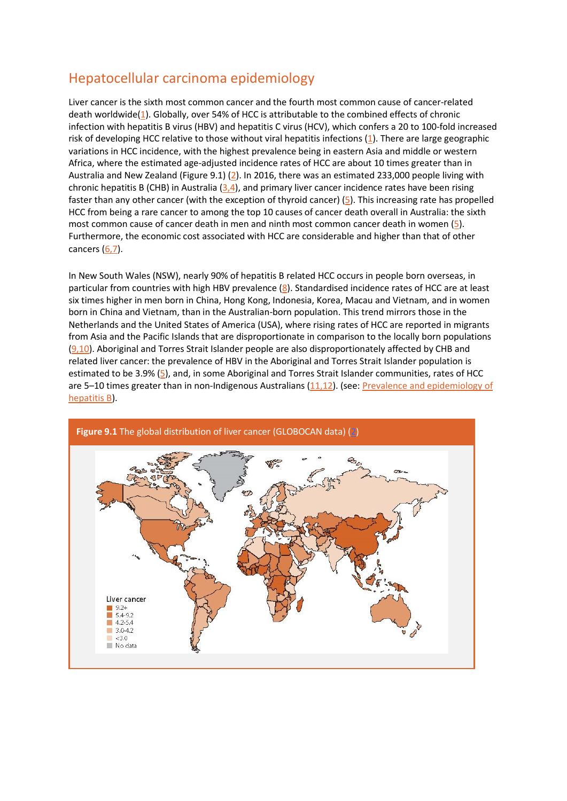## Hepatocellular carcinoma epidemiology

Liver cancer is the sixth most common cancer and the fourth most common cause of cancer-related death worldwide[\(1\)](http://www.hepatitisb.org.au/hepatitis-b-related-hepatocellular-carcinoma/#ref1). Globally, over 54% of HCC is attributable to the combined effects of chronic infection with hepatitis B virus (HBV) and hepatitis C virus (HCV), which confers a 20 to 100-fold increased risk of developing HCC relative to those without viral hepatitis infections [\(1\)](http://www.hepatitisb.org.au/hepatitis-b-related-hepatocellular-carcinoma/#ref1). There are large geographic variations in HCC incidence, with the highest prevalence being in eastern Asia and middle or western Africa, where the estimated age-adjusted incidence rates of HCC are about 10 times greater than in Australia and New Zealand (Figure 9.1) [\(2\)](http://www.hepatitisb.org.au/hepatitis-b-related-hepatocellular-carcinoma/#ref2). In 2016, there was an estimated 233,000 people living with chronic hepatitis B (CHB) in Australia  $(3,4)$ , and primary liver cancer incidence rates have been rising faster than any other cancer (with the exception of thyroid cancer) [\(5\)](http://www.hepatitisb.org.au/hepatitis-b-related-hepatocellular-carcinoma/#ref5). This increasing rate has propelled HCC from being a rare cancer to among the top 10 causes of cancer death overall in Australia: the sixth most common cause of cancer death in men and ninth most common cancer death in women [\(5\)](http://www.hepatitisb.org.au/hepatitis-b-related-hepatocellular-carcinoma/#ref5). Furthermore, the economic cost associated with HCC are considerable and higher than that of other cancers [\(6,7\)](http://www.hepatitisb.org.au/hepatitis-b-related-hepatocellular-carcinoma/#ref6).

In New South Wales (NSW), nearly 90% of hepatitis B related HCC occurs in people born overseas, in particular from countries with high HBV prevalence [\(8\)](http://www.hepatitisb.org.au/hepatitis-b-related-hepatocellular-carcinoma/#ref8). Standardised incidence rates of HCC are at least six times higher in men born in China, Hong Kong, Indonesia, Korea, Macau and Vietnam, and in women born in China and Vietnam, than in the Australian-born population. This trend mirrors those in the Netherlands and the United States of America (USA), where rising rates of HCC are reported in migrants from Asia and the Pacific Islands that are disproportionate in comparison to the locally born populations  $(9,10)$ . Aboriginal and Torres Strait Islander people are also disproportionately affected by CHB and related liver cancer: the prevalence of HBV in the Aboriginal and Torres Strait Islander population is estimated to be 3.9% [\(5\)](http://www.hepatitisb.org.au/hepatitis-b-related-hepatocellular-carcinoma/#ref5), and, in some Aboriginal and Torres Strait Islander communities, rates of HCC are 5-10 times greater than in non-Indigenous Australians [\(11,12\)](http://www.hepatitisb.org.au/hepatitis-b-related-hepatocellular-carcinoma/#ref11). (see: Prevalence and epidemiology of [hepatitis B\)](http://www.hepatitisb.org.au/prevalence-and-epidemiology-of-hepatitis-b/).

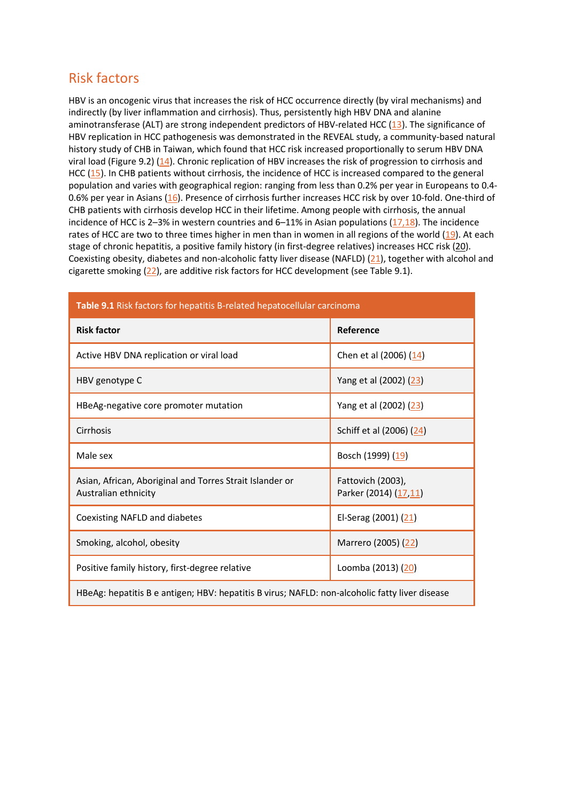#### Risk factors

HBV is an oncogenic virus that increases the risk of HCC occurrence directly (by viral mechanisms) and indirectly (by liver inflammation and cirrhosis). Thus, persistently high HBV DNA and alanine aminotransferase (ALT) are strong independent predictors of HBV-related HCC [\(13\)](http://www.hepatitisb.org.au/hepatitis-b-related-hepatocellular-carcinoma/#ref13). The significance of HBV replication in HCC pathogenesis was demonstrated in the REVEAL study, a community-based natural history study of CHB in Taiwan, which found that HCC risk increased proportionally to serum HBV DNA viral load (Figure 9.2) [\(14\)](http://www.hepatitisb.org.au/hepatitis-b-related-hepatocellular-carcinoma/#ref14). Chronic replication of HBV increases the risk of progression to cirrhosis and HCC [\(15\)](http://www.hepatitisb.org.au/hepatitis-b-related-hepatocellular-carcinoma/#ref15). In CHB patients without cirrhosis, the incidence of HCC is increased compared to the general population and varies with geographical region: ranging from less than 0.2% per year in Europeans to 0.4- 0.6% per year in Asians [\(16\)](http://www.hepatitisb.org.au/hepatitis-b-related-hepatocellular-carcinoma/#ref16). Presence of cirrhosis further increases HCC risk by over 10-fold. One-third of CHB patients with cirrhosis develop HCC in their lifetime. Among people with cirrhosis, the annual incidence of HCC is 2–3% in western countries and 6–11% in Asian populations  $(17,18)$ . The incidence rates of HCC are two to three times higher in men than in women in all regions of the world [\(19\)](http://www.hepatitisb.org.au/hepatitis-b-related-hepatocellular-carcinoma/#ref19). At each stage of chronic hepatitis, a positive family history (in first-degree relatives) increases HCC risk (20). Coexisting obesity, diabetes and non-alcoholic fatty liver disease (NAFLD) [\(21\)](http://www.hepatitisb.org.au/hepatitis-b-related-hepatocellular-carcinoma/#ref21), together with alcohol and cigarette smoking [\(22\)](http://www.hepatitisb.org.au/hepatitis-b-related-hepatocellular-carcinoma/#ref22), are additive risk factors for HCC development (see Table 9.1).

| Table 9.1 Risk factors for hepatitis B-related hepatocellular carcinoma          |                                            |
|----------------------------------------------------------------------------------|--------------------------------------------|
| <b>Risk factor</b>                                                               | Reference                                  |
| Active HBV DNA replication or viral load                                         | Chen et al (2006) (14)                     |
| HBV genotype C                                                                   | Yang et al (2002) (23)                     |
| HBeAg-negative core promoter mutation                                            | Yang et al (2002) (23)                     |
| Cirrhosis                                                                        | Schiff et al (2006) (24)                   |
| Male sex                                                                         | Bosch (1999) (19)                          |
| Asian, African, Aboriginal and Torres Strait Islander or<br>Australian ethnicity | Fattovich (2003),<br>Parker (2014) (17,11) |
| Coexisting NAFLD and diabetes                                                    | El-Serag (2001) (21)                       |
| Smoking, alcohol, obesity                                                        | Marrero (2005) (22)                        |
| Positive family history, first-degree relative                                   | Loomba (2013) (20)                         |
|                                                                                  |                                            |

HBeAg: hepatitis B e antigen; HBV: hepatitis B virus; NAFLD: non-alcoholic fatty liver disease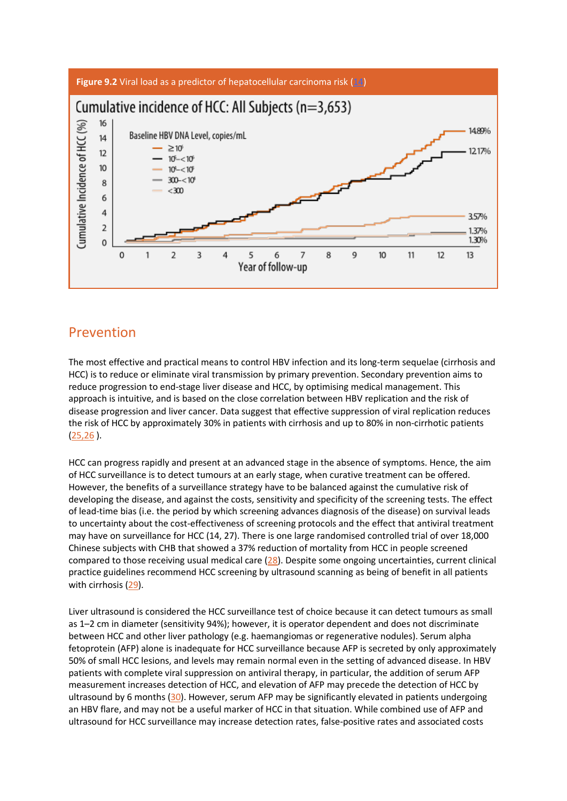

### Prevention

The most effective and practical means to control HBV infection and its long-term sequelae (cirrhosis and HCC) is to reduce or eliminate viral transmission by primary prevention. Secondary prevention aims to reduce progression to end-stage liver disease and HCC, by optimising medical management. This approach is intuitive, and is based on the close correlation between HBV replication and the risk of disease progression and liver cancer. Data suggest that effective suppression of viral replication reduces the risk of HCC by approximately 30% in patients with cirrhosis and up to 80% in non-cirrhotic patients [\(25,26](http://www.hepatitisb.org.au/hepatitis-b-related-hepatocellular-carcinoma/#ref25) ).

HCC can progress rapidly and present at an advanced stage in the absence of symptoms. Hence, the aim of HCC surveillance is to detect tumours at an early stage, when curative treatment can be offered. However, the benefits of a surveillance strategy have to be balanced against the cumulative risk of developing the disease, and against the costs, sensitivity and specificity of the screening tests. The effect of lead-time bias (i.e. the period by which screening advances diagnosis of the disease) on survival leads to uncertainty about the cost-effectiveness of screening protocols and the effect that antiviral treatment may have on surveillance for HCC (14, 27). There is one large randomised controlled trial of over 18,000 Chinese subjects with CHB that showed a 37% reduction of mortality from HCC in people screened compared to those receiving usual medical care [\(28\)](http://www.hepatitisb.org.au/hepatitis-b-related-hepatocellular-carcinoma/#ref28). Despite some ongoing uncertainties, current clinical practice guidelines recommend HCC screening by ultrasound scanning as being of benefit in all patients with cirrhosis [\(29\)](http://www.hepatitisb.org.au/hepatitis-b-related-hepatocellular-carcinoma/#ref29).

Liver ultrasound is considered the HCC surveillance test of choice because it can detect tumours as small as 1–2 cm in diameter (sensitivity 94%); however, it is operator dependent and does not discriminate between HCC and other liver pathology (e.g. haemangiomas or regenerative nodules). Serum alpha fetoprotein (AFP) alone is inadequate for HCC surveillance because AFP is secreted by only approximately 50% of small HCC lesions, and levels may remain normal even in the setting of advanced disease. In HBV patients with complete viral suppression on antiviral therapy, in particular, the addition of serum AFP measurement increases detection of HCC, and elevation of AFP may precede the detection of HCC by ultrasound by 6 months [\(30\)](http://www.hepatitisb.org.au/hepatitis-b-related-hepatocellular-carcinoma/#ref30). However, serum AFP may be significantly elevated in patients undergoing an HBV flare, and may not be a useful marker of HCC in that situation. While combined use of AFP and ultrasound for HCC surveillance may increase detection rates, false-positive rates and associated costs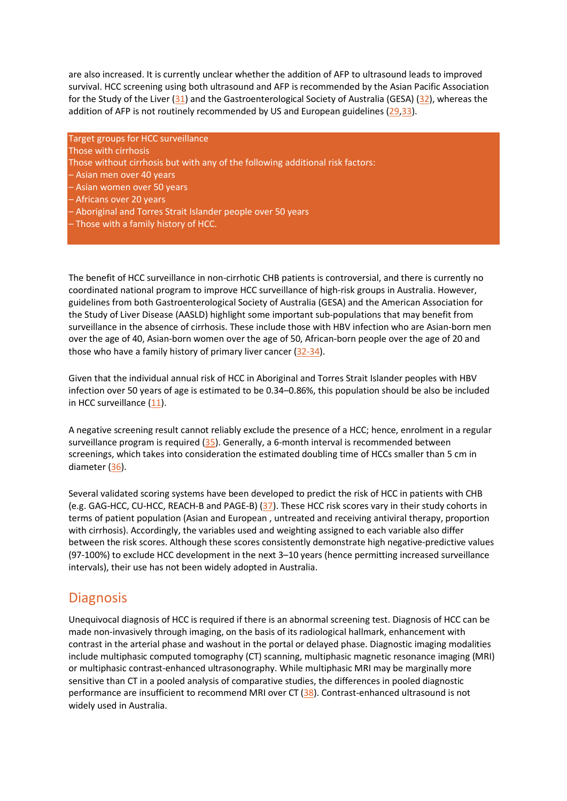are also increased. It is currently unclear whether the addition of AFP to ultrasound leads to improved survival. HCC screening using both ultrasound and AFP is recommended by the Asian Pacific Association for the Study of the Liver [\(31\)](http://www.hepatitisb.org.au/hepatitis-b-related-hepatocellular-carcinoma/#ref31) and the Gastroenterological Society of Australia (GESA) [\(32\)](http://www.hepatitisb.org.au/hepatitis-b-related-hepatocellular-carcinoma/#ref32), whereas the addition of AFP is not routinely recommended by US and European guidelines  $(29,33)$  $(29,33)$ .

Target groups for HCC surveillance

#### Those with cirrhosis

- Those without cirrhosis but with any of the following additional risk factors:
- Asian men over 40 years
- Asian women over 50 years
- Africans over 20 years
- Aboriginal and Torres Strait Islander people over 50 years
- Those with a family history of HCC.

The benefit of HCC surveillance in non-cirrhotic CHB patients is controversial, and there is currently no coordinated national program to improve HCC surveillance of high-risk groups in Australia. However, guidelines from both Gastroenterological Society of Australia (GESA) and the American Association for the Study of Liver Disease (AASLD) highlight some important sub-populations that may benefit from surveillance in the absence of cirrhosis. These include those with HBV infection who are Asian-born men over the age of 40, Asian-born women over the age of 50, African-born people over the age of 20 and those who have a family history of primary liver cancer [\(32-34\)](http://www.hepatitisb.org.au/hepatitis-b-related-hepatocellular-carcinoma/#ref32).

Given that the individual annual risk of HCC in Aboriginal and Torres Strait Islander peoples with HBV infection over 50 years of age is estimated to be 0.34–0.86%, this population should be also be included in HCC surveillance [\(11\)](http://www.hepatitisb.org.au/hepatitis-b-related-hepatocellular-carcinoma/#ref11).

A negative screening result cannot reliably exclude the presence of a HCC; hence, enrolment in a regular surveillance program is required  $(35)$ . Generally, a 6-month interval is recommended between screenings, which takes into consideration the estimated doubling time of HCCs smaller than 5 cm in diameter [\(36\)](http://www.hepatitisb.org.au/hepatitis-b-related-hepatocellular-carcinoma/#ref36).

Several validated scoring systems have been developed to predict the risk of HCC in patients with CHB (e.g. GAG-HCC, CU-HCC, REACH-B and PAGE-B) [\(37\)](http://www.hepatitisb.org.au/hepatitis-b-related-hepatocellular-carcinoma/#ref37). These HCC risk scores vary in their study cohorts in terms of patient population (Asian and European , untreated and receiving antiviral therapy, proportion with cirrhosis). Accordingly, the variables used and weighting assigned to each variable also differ between the risk scores. Although these scores consistently demonstrate high negative-predictive values (97-100%) to exclude HCC development in the next 3–10 years (hence permitting increased surveillance intervals), their use has not been widely adopted in Australia.

#### **Diagnosis**

Unequivocal diagnosis of HCC is required if there is an abnormal screening test. Diagnosis of HCC can be made non-invasively through imaging, on the basis of its radiological hallmark, enhancement with contrast in the arterial phase and washout in the portal or delayed phase. Diagnostic imaging modalities include multiphasic computed tomography (CT) scanning, multiphasic magnetic resonance imaging (MRI) or multiphasic contrast-enhanced ultrasonography. While multiphasic MRI may be marginally more sensitive than CT in a pooled analysis of comparative studies, the differences in pooled diagnostic performance are insufficient to recommend MRI over CT [\(38\)](http://www.hepatitisb.org.au/hepatitis-b-related-hepatocellular-carcinoma/#ref38). Contrast-enhanced ultrasound is not widely used in Australia.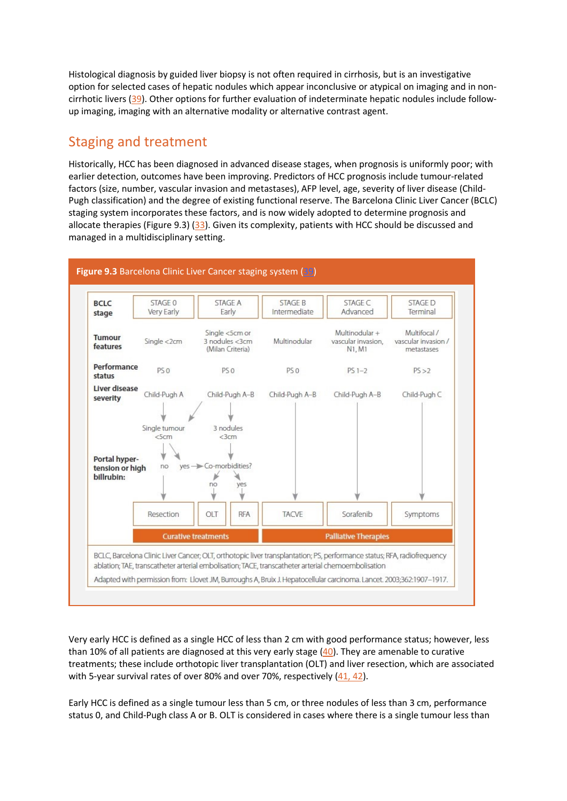Histological diagnosis by guided liver biopsy is not often required in cirrhosis, but is an investigative option for selected cases of hepatic nodules which appear inconclusive or atypical on imaging and in noncirrhotic livers [\(39\)](http://www.hepatitisb.org.au/hepatitis-b-related-hepatocellular-carcinoma/#ref39). Other options for further evaluation of indeterminate hepatic nodules include followup imaging, imaging with an alternative modality or alternative contrast agent.

## Staging and treatment

Historically, HCC has been diagnosed in advanced disease stages, when prognosis is uniformly poor; with earlier detection, outcomes have been improving. Predictors of HCC prognosis include tumour-related factors (size, number, vascular invasion and metastases), AFP level, age, severity of liver disease (Child-Pugh classification) and the degree of existing functional reserve. The Barcelona Clinic Liver Cancer (BCLC) staging system incorporates these factors, and is now widely adopted to determine prognosis and allocate therapies (Figure 9.3) [\(33\)](http://www.hepatitisb.org.au/hepatitis-b-related-hepatocellular-carcinoma/#ref33). Given its complexity, patients with HCC should be discussed and managed in a multidisciplinary setting.



Very early HCC is defined as a single HCC of less than 2 cm with good performance status; however, less than 10% of all patients are diagnosed at this very early stage [\(40\)](http://www.hepatitisb.org.au/hepatitis-b-related-hepatocellular-carcinoma/#ref40). They are amenable to curative treatments; these include orthotopic liver transplantation (OLT) and liver resection, which are associated with 5-year survival rates of over 80% and over 70%, respectively [\(41, 42\)](http://www.hepatitisb.org.au/hepatitis-b-related-hepatocellular-carcinoma/#ref41).

Early HCC is defined as a single tumour less than 5 cm, or three nodules of less than 3 cm, performance status 0, and Child-Pugh class A or B. OLT is considered in cases where there is a single tumour less than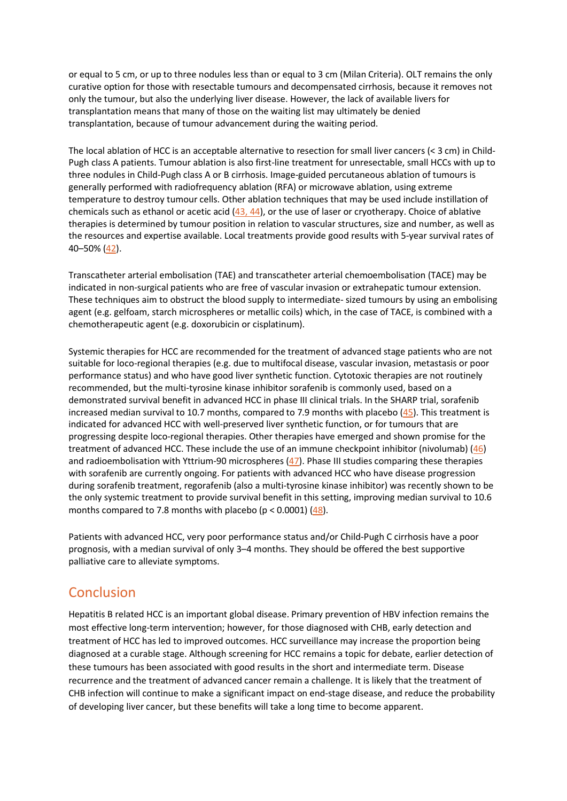or equal to 5 cm, or up to three nodules less than or equal to 3 cm (Milan Criteria). OLT remains the only curative option for those with resectable tumours and decompensated cirrhosis, because it removes not only the tumour, but also the underlying liver disease. However, the lack of available livers for transplantation means that many of those on the waiting list may ultimately be denied transplantation, because of tumour advancement during the waiting period.

The local ablation of HCC is an acceptable alternative to resection for small liver cancers (< 3 cm) in Child-Pugh class A patients. Tumour ablation is also first-line treatment for unresectable, small HCCs with up to three nodules in Child-Pugh class A or B cirrhosis. Image-guided percutaneous ablation of tumours is generally performed with radiofrequency ablation (RFA) or microwave ablation, using extreme temperature to destroy tumour cells. Other ablation techniques that may be used include instillation of chemicals such as ethanol or acetic acid  $(43, 44)$  $(43, 44)$ , or the use of laser or cryotherapy. Choice of ablative therapies is determined by tumour position in relation to vascular structures, size and number, as well as the resources and expertise available. Local treatments provide good results with 5-year survival rates of 40–50% [\(42\)](http://www.hepatitisb.org.au/hepatitis-b-related-hepatocellular-carcinoma/#ref42).

Transcatheter arterial embolisation (TAE) and transcatheter arterial chemoembolisation (TACE) may be indicated in non-surgical patients who are free of vascular invasion or extrahepatic tumour extension. These techniques aim to obstruct the blood supply to intermediate- sized tumours by using an embolising agent (e.g. gelfoam, starch microspheres or metallic coils) which, in the case of TACE, is combined with a chemotherapeutic agent (e.g. doxorubicin or cisplatinum).

Systemic therapies for HCC are recommended for the treatment of advanced stage patients who are not suitable for loco-regional therapies (e.g. due to multifocal disease, vascular invasion, metastasis or poor performance status) and who have good liver synthetic function. Cytotoxic therapies are not routinely recommended, but the multi-tyrosine kinase inhibitor sorafenib is commonly used, based on a demonstrated survival benefit in advanced HCC in phase III clinical trials. In the SHARP trial, sorafenib increased median survival to 10.7 months, compared to 7.9 months with placebo [\(45\)](http://www.hepatitisb.org.au/hepatitis-b-related-hepatocellular-carcinoma/#ref45). This treatment is indicated for advanced HCC with well-preserved liver synthetic function, or for tumours that are progressing despite loco-regional therapies. Other therapies have emerged and shown promise for the treatment of advanced HCC. These include the use of an immune checkpoint inhibitor (nivolumab) [\(46\)](http://www.hepatitisb.org.au/hepatitis-b-related-hepatocellular-carcinoma/#ref46) and radioembolisation with Yttrium-90 microspheres  $(47)$ . Phase III studies comparing these therapies with sorafenib are currently ongoing. For patients with advanced HCC who have disease progression during sorafenib treatment, regorafenib (also a multi-tyrosine kinase inhibitor) was recently shown to be the only systemic treatment to provide survival benefit in this setting, improving median survival to 10.6 months compared to 7.8 months with placebo ( $p < 0.0001$ ) [\(48\)](http://www.hepatitisb.org.au/hepatitis-b-related-hepatocellular-carcinoma/#ref48).

Patients with advanced HCC, very poor performance status and/or Child-Pugh C cirrhosis have a poor prognosis, with a median survival of only 3–4 months. They should be offered the best supportive palliative care to alleviate symptoms.

### Conclusion

Hepatitis B related HCC is an important global disease. Primary prevention of HBV infection remains the most effective long-term intervention; however, for those diagnosed with CHB, early detection and treatment of HCC has led to improved outcomes. HCC surveillance may increase the proportion being diagnosed at a curable stage. Although screening for HCC remains a topic for debate, earlier detection of these tumours has been associated with good results in the short and intermediate term. Disease recurrence and the treatment of advanced cancer remain a challenge. It is likely that the treatment of CHB infection will continue to make a significant impact on end-stage disease, and reduce the probability of developing liver cancer, but these benefits will take a long time to become apparent.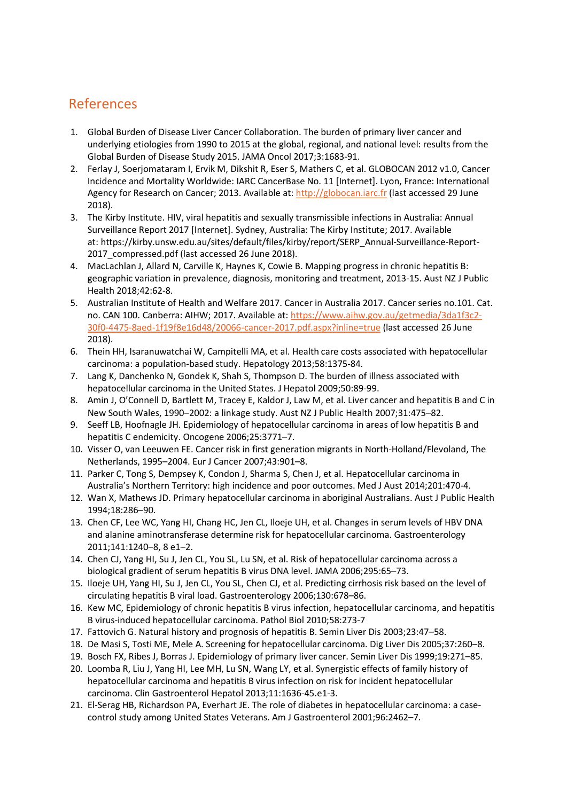# References

- 1. Global Burden of Disease Liver Cancer Collaboration. The burden of primary liver cancer and underlying etiologies from 1990 to 2015 at the global, regional, and national level: results from the Global Burden of Disease Study 2015. JAMA Oncol 2017;3:1683-91.
- 2. Ferlay J, Soerjomataram I, Ervik M, Dikshit R, Eser S, Mathers C, et al. GLOBOCAN 2012 v1.0, Cancer Incidence and Mortality Worldwide: IARC CancerBase No. 11 [Internet]. Lyon, France: International Agency for Research on Cancer; 2013. Available at: [http://globocan.iarc.fr](http://globocan.iarc.fr/) (last accessed 29 June 2018).
- 3. The Kirby Institute. HIV, viral hepatitis and sexually transmissible infections in Australia: Annual Surveillance Report 2017 [Internet]. Sydney, Australia: The Kirby Institute; 2017. Available at: https://kirby.unsw.edu.au/sites/default/files/kirby/report/SERP\_Annual-Surveillance-Report-2017\_compressed.pdf (last accessed 26 June 2018).
- 4. MacLachlan J, Allard N, Carville K, Haynes K, Cowie B. Mapping progress in chronic hepatitis B: geographic variation in prevalence, diagnosis, monitoring and treatment, 2013-15. Aust NZ J Public Health 2018;42:62-8.
- 5. Australian Institute of Health and Welfare 2017. Cancer in Australia 2017. Cancer series no.101. Cat. no. CAN 100. Canberra: AIHW; 2017. Available at: [https://www.aihw.gov.au/getmedia/3da1f3c2-](https://www.aihw.gov.au/getmedia/3da1f3c2-30f0-4475-8aed-1f19f8e16d48/20066-cancer-2017.pdf.aspx?inline=true) [30f0-4475-8aed-1f19f8e16d48/20066-cancer-2017.pdf.aspx?inline=true](https://www.aihw.gov.au/getmedia/3da1f3c2-30f0-4475-8aed-1f19f8e16d48/20066-cancer-2017.pdf.aspx?inline=true) (last accessed 26 June 2018).
- 6. Thein HH, Isaranuwatchai W, Campitelli MA, et al. Health care costs associated with hepatocellular carcinoma: a population-based study. Hepatology 2013;58:1375-84.
- 7. Lang K, Danchenko N, Gondek K, Shah S, Thompson D. The burden of illness associated with hepatocellular carcinoma in the United States. J Hepatol 2009;50:89-99.
- 8. Amin J, O'Connell D, Bartlett M, Tracey E, Kaldor J, Law M, et al. Liver cancer and hepatitis B and C in New South Wales, 1990–2002: a linkage study. Aust NZ J Public Health 2007;31:475–82.
- 9. Seeff LB, Hoofnagle JH. Epidemiology of hepatocellular carcinoma in areas of low hepatitis B and hepatitis C endemicity. Oncogene 2006;25:3771–7.
- 10. Visser O, van Leeuwen FE. Cancer risk in first generation migrants in North-Holland/Flevoland, The Netherlands, 1995–2004. Eur J Cancer 2007;43:901–8.
- 11. Parker C, Tong S, Dempsey K, Condon J, Sharma S, Chen J, et al. Hepatocellular carcinoma in Australia's Northern Territory: high incidence and poor outcomes. Med J Aust 2014;201:470-4.
- 12. Wan X, Mathews JD. Primary hepatocellular carcinoma in aboriginal Australians. Aust J Public Health 1994;18:286–90.
- 13. Chen CF, Lee WC, Yang HI, Chang HC, Jen CL, Iloeje UH, et al. Changes in serum levels of HBV DNA and alanine aminotransferase determine risk for hepatocellular carcinoma. Gastroenterology 2011;141:1240–8, 8 e1–2.
- 14. Chen CJ, Yang HI, Su J, Jen CL, You SL, Lu SN, et al. Risk of hepatocellular carcinoma across a biological gradient of serum hepatitis B virus DNA level. JAMA 2006;295:65–73.
- 15. Iloeje UH, Yang HI, Su J, Jen CL, You SL, Chen CJ, et al. Predicting cirrhosis risk based on the level of circulating hepatitis B viral load. Gastroenterology 2006;130:678–86.
- 16. Kew MC, Epidemiology of chronic hepatitis B virus infection, hepatocellular carcinoma, and hepatitis B virus-induced hepatocellular carcinoma. Pathol Biol 2010;58:273-7
- 17. Fattovich G. Natural history and prognosis of hepatitis B. Semin Liver Dis 2003;23:47–58.
- 18. De Masi S, Tosti ME, Mele A. Screening for hepatocellular carcinoma. Dig Liver Dis 2005;37:260–8.
- 19. Bosch FX, Ribes J, Borras J. Epidemiology of primary liver cancer. Semin Liver Dis 1999;19:271–85.
- 20. Loomba R, Liu J, Yang HI, Lee MH, Lu SN, Wang LY, et al. Synergistic effects of family history of hepatocellular carcinoma and hepatitis B virus infection on risk for incident hepatocellular carcinoma. Clin Gastroenterol Hepatol 2013;11:1636-45.e1-3.
- 21. El-Serag HB, Richardson PA, Everhart JE. The role of diabetes in hepatocellular carcinoma: a casecontrol study among United States Veterans. Am J Gastroenterol 2001;96:2462–7.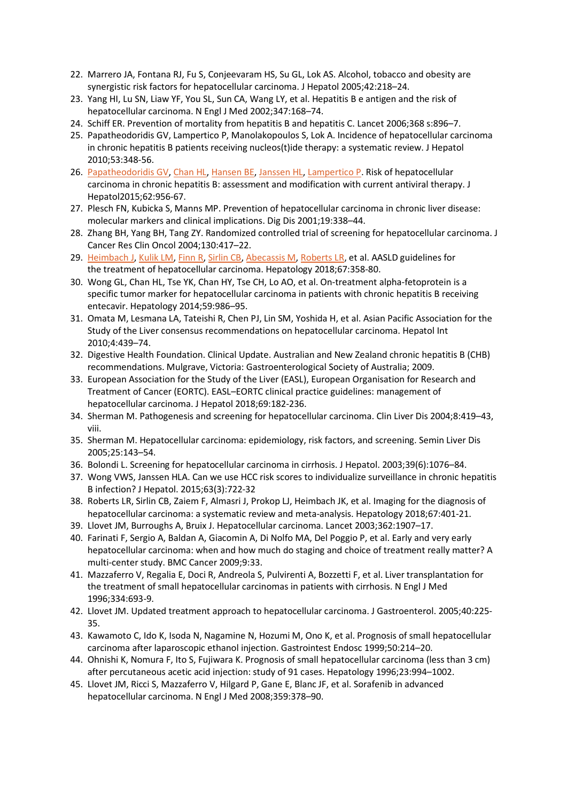- 22. Marrero JA, Fontana RJ, Fu S, Conjeevaram HS, Su GL, Lok AS. Alcohol, tobacco and obesity are synergistic risk factors for hepatocellular carcinoma. J Hepatol 2005;42:218–24.
- 23. Yang HI, Lu SN, Liaw YF, You SL, Sun CA, Wang LY, et al. Hepatitis B e antigen and the risk of hepatocellular carcinoma. N Engl J Med 2002;347:168–74.
- 24. Schiff ER. Prevention of mortality from hepatitis B and hepatitis C. Lancet 2006;368 s:896–7.
- 25. Papatheodoridis GV, Lampertico P, Manolakopoulos S, Lok A. Incidence of hepatocellular carcinoma in chronic hepatitis B patients receiving nucleos(t)ide therapy: a systematic review. J Hepatol 2010;53:348-56.
- 26. [Papatheodoridis GV,](https://www.ncbi.nlm.nih.gov/pubmed/?term=Papatheodoridis%20GV%5BAuthor%5D&cauthor=true&cauthor_uid=25595883) [Chan HL,](https://www.ncbi.nlm.nih.gov/pubmed/?term=Chan%20HL%5BAuthor%5D&cauthor=true&cauthor_uid=25595883) [Hansen BE,](https://www.ncbi.nlm.nih.gov/pubmed/?term=Hansen%20BE%5BAuthor%5D&cauthor=true&cauthor_uid=25595883) [Janssen HL,](https://www.ncbi.nlm.nih.gov/pubmed/?term=Janssen%20HL%5BAuthor%5D&cauthor=true&cauthor_uid=25595883) [Lampertico P.](https://www.ncbi.nlm.nih.gov/pubmed/?term=Lampertico%20P%5BAuthor%5D&cauthor=true&cauthor_uid=25595883) Risk of hepatocellular carcinoma in chronic hepatitis B: assessment and modification with current antiviral therapy. J Hepatol2015;62:956-67.
- 27. Plesch FN, Kubicka S, Manns MP. Prevention of hepatocellular carcinoma in chronic liver disease: molecular markers and clinical implications. Dig Dis 2001;19:338–44.
- 28. Zhang BH, Yang BH, Tang ZY. Randomized controlled trial of screening for hepatocellular carcinoma. J Cancer Res Clin Oncol 2004;130:417–22.
- 29. [Heimbach J,](https://www.ncbi.nlm.nih.gov/pubmed/?term=Heimbach%20J%5BAuthor%5D&cauthor=true&cauthor_uid=28130846) [Kulik LM,](https://www.ncbi.nlm.nih.gov/pubmed/?term=Kulik%20LM%5BAuthor%5D&cauthor=true&cauthor_uid=28130846) [Finn R,](https://www.ncbi.nlm.nih.gov/pubmed/?term=Finn%20R%5BAuthor%5D&cauthor=true&cauthor_uid=28130846) [Sirlin CB,](https://www.ncbi.nlm.nih.gov/pubmed/?term=Sirlin%20CB%5BAuthor%5D&cauthor=true&cauthor_uid=28130846) [Abecassis M,](https://www.ncbi.nlm.nih.gov/pubmed/?term=Abecassis%20M%5BAuthor%5D&cauthor=true&cauthor_uid=28130846) [Roberts LR,](https://www.ncbi.nlm.nih.gov/pubmed/?term=Roberts%20LR%5BAuthor%5D&cauthor=true&cauthor_uid=28130846) et al. AASLD guidelines for the treatment of hepatocellular carcinoma. Hepatology 2018;67:358-80.
- 30. Wong GL, Chan HL, Tse YK, Chan HY, Tse CH, Lo AO, et al. On-treatment alpha-fetoprotein is a specific tumor marker for hepatocellular carcinoma in patients with chronic hepatitis B receiving entecavir. Hepatology 2014;59:986–95.
- 31. Omata M, Lesmana LA, Tateishi R, Chen PJ, Lin SM, Yoshida H, et al. Asian Pacific Association for the Study of the Liver consensus recommendations on hepatocellular carcinoma. Hepatol Int 2010;4:439–74.
- 32. Digestive Health Foundation. Clinical Update. Australian and New Zealand chronic hepatitis B (CHB) recommendations. Mulgrave, Victoria: Gastroenterological Society of Australia; 2009.
- 33. European Association for the Study of the Liver (EASL), European Organisation for Research and Treatment of Cancer (EORTC). EASL–EORTC clinical practice guidelines: management of hepatocellular carcinoma. J Hepatol 2018;69:182-236.
- 34. Sherman M. Pathogenesis and screening for hepatocellular carcinoma. Clin Liver Dis 2004;8:419–43, viii.
- 35. Sherman M. Hepatocellular carcinoma: epidemiology, risk factors, and screening. Semin Liver Dis 2005;25:143–54.
- 36. Bolondi L. Screening for hepatocellular carcinoma in cirrhosis. J Hepatol. 2003;39(6):1076–84.
- 37. Wong VWS, Janssen HLA. Can we use HCC risk scores to individualize surveillance in chronic hepatitis B infection? J Hepatol. 2015;63(3):722-32
- 38. Roberts LR, Sirlin CB, Zaiem F, Almasri J, Prokop LJ, Heimbach JK, et al. Imaging for the diagnosis of hepatocellular carcinoma: a systematic review and meta-analysis. Hepatology 2018;67:401-21.
- 39. Llovet JM, Burroughs A, Bruix J. Hepatocellular carcinoma. Lancet 2003;362:1907–17.
- 40. Farinati F, Sergio A, Baldan A, Giacomin A, Di Nolfo MA, Del Poggio P, et al. Early and very early hepatocellular carcinoma: when and how much do staging and choice of treatment really matter? A multi-center study. BMC Cancer 2009;9:33.
- 41. Mazzaferro V, Regalia E, Doci R, Andreola S, Pulvirenti A, Bozzetti F, et al. Liver transplantation for the treatment of small hepatocellular carcinomas in patients with cirrhosis. N Engl J Med 1996;334:693-9.
- 42. Llovet JM. Updated treatment approach to hepatocellular carcinoma. J Gastroenterol. 2005;40:225- 35.
- 43. Kawamoto C, Ido K, Isoda N, Nagamine N, Hozumi M, Ono K, et al. Prognosis of small hepatocellular carcinoma after laparoscopic ethanol injection. Gastrointest Endosc 1999;50:214–20.
- 44. Ohnishi K, Nomura F, Ito S, Fujiwara K. Prognosis of small hepatocellular carcinoma (less than 3 cm) after percutaneous acetic acid injection: study of 91 cases. Hepatology 1996;23:994–1002.
- 45. Llovet JM, Ricci S, Mazzaferro V, Hilgard P, Gane E, Blanc JF, et al. Sorafenib in advanced hepatocellular carcinoma. N Engl J Med 2008;359:378–90.